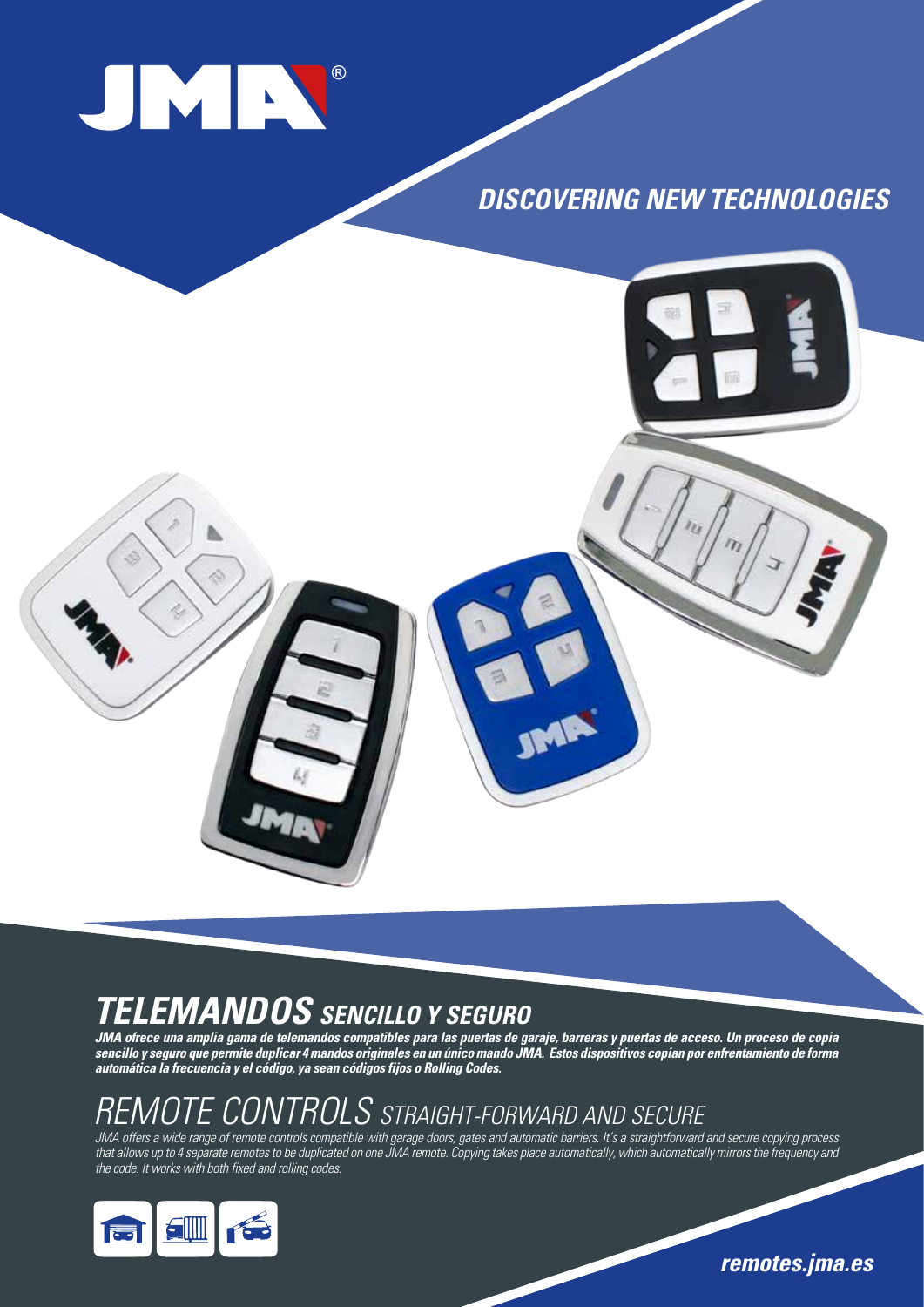

### **DISCOVERING NEW TECHNOLOGIES**



## **TELEMANDOS SENCILLO Y SEGURO**

**JMA ofrece una amplia gama de telemandos compatibles para las puertas de garaje, barreras y puertas de acceso. Un proceso de copia sencillo y seguro que permite duplicar 4 mandos originales en un único mando JMA. Estos dispositivos copian por enfrentamiento de forma automática la frecuencia y el código, ya sean códigos fijos o Rolling Codes.** 

# REMOTE CONTROLS STRAIGHT-FORWARD AND SECURE

JMA offers a wide range of remote controls compatible with garage doors, gates and automatic barriers. It's a straightforward and secure copying process that allows up to 4 separate remotes to be duplicated on one JMA remote. Copying takes place automatically, which automatically mirrors the frequency and the code. It works with both fixed and rolling codes.



**remotes.jma.es**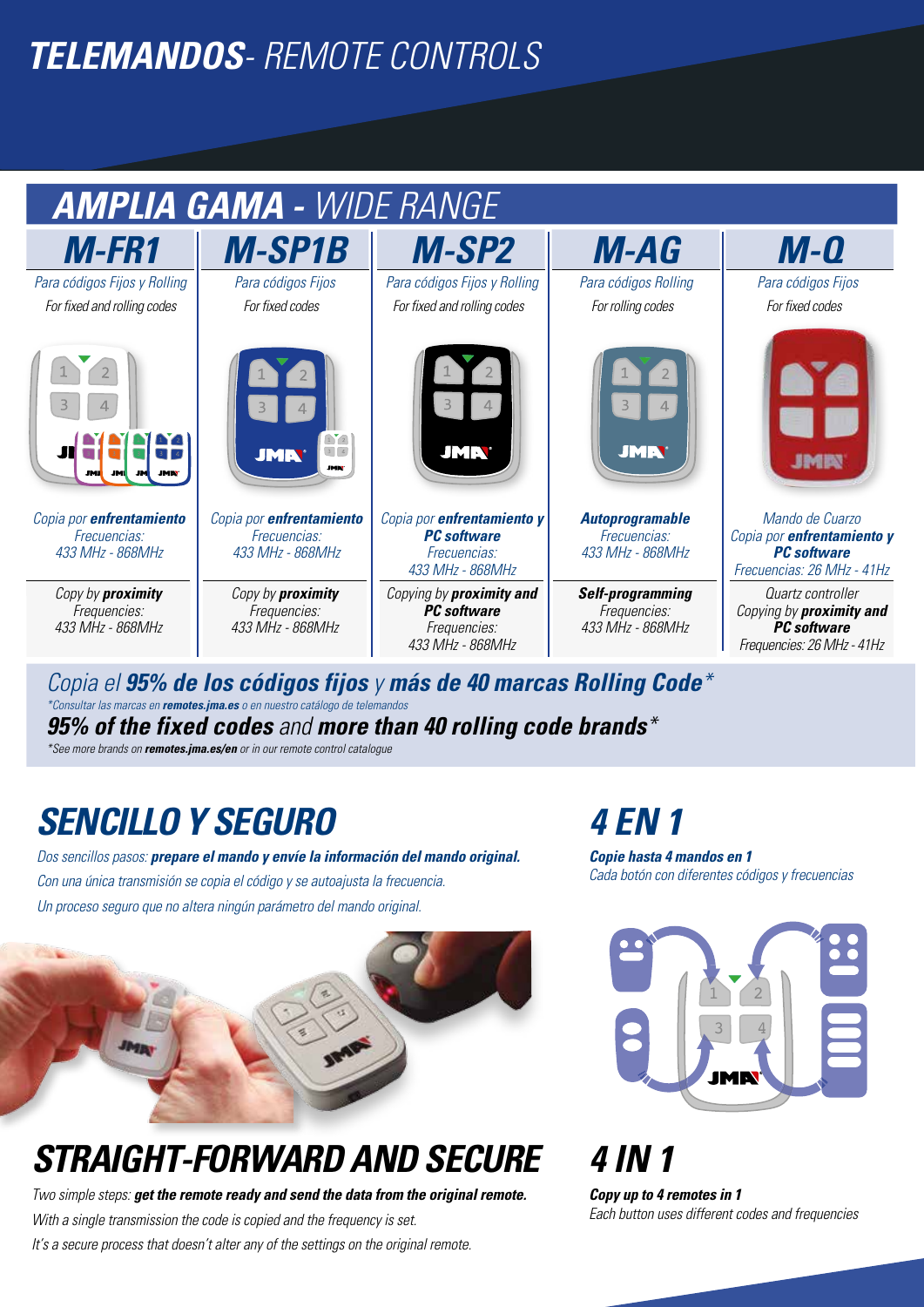# **TELEMANDOS**- REMOTE CONTROLS



Copia el **95% de los códigos fijos** y **más de 40 marcas Rolling Code**\* \*Consultar las marcas en **remotes.jma.es** o en nuestro catálogo de telemandos **95% of the fixed codes** and **more than 40 rolling code brands**\*

\*See more brands on **remotes.jma.es/en** or in our remote control catalogue

# **SENCILLO Y SEGURO 4 EN 1**

Dos sencillos pasos: **prepare el mando y envíe la información del mando original.** Con una única transmisión se copia el código y se autoajusta la frecuencia. Un proceso seguro que no altera ningún parámetro del mando original.

**Copie hasta 4 mandos en 1** Cada botón con diferentes códigos y frecuencias

> 1 $1 \mid 2$

3 4



# **STRAIGHT-FORWARD AND SECURE 4 IN 1**

Two simple steps: **get the remote ready and send the data from the original remote.** With a single transmission the code is copied and the frequency is set. It's a secure process that doesn't alter any of the settings on the original remote.

**Copy up to 4 remotes in 1** Each button uses different codes and frequencies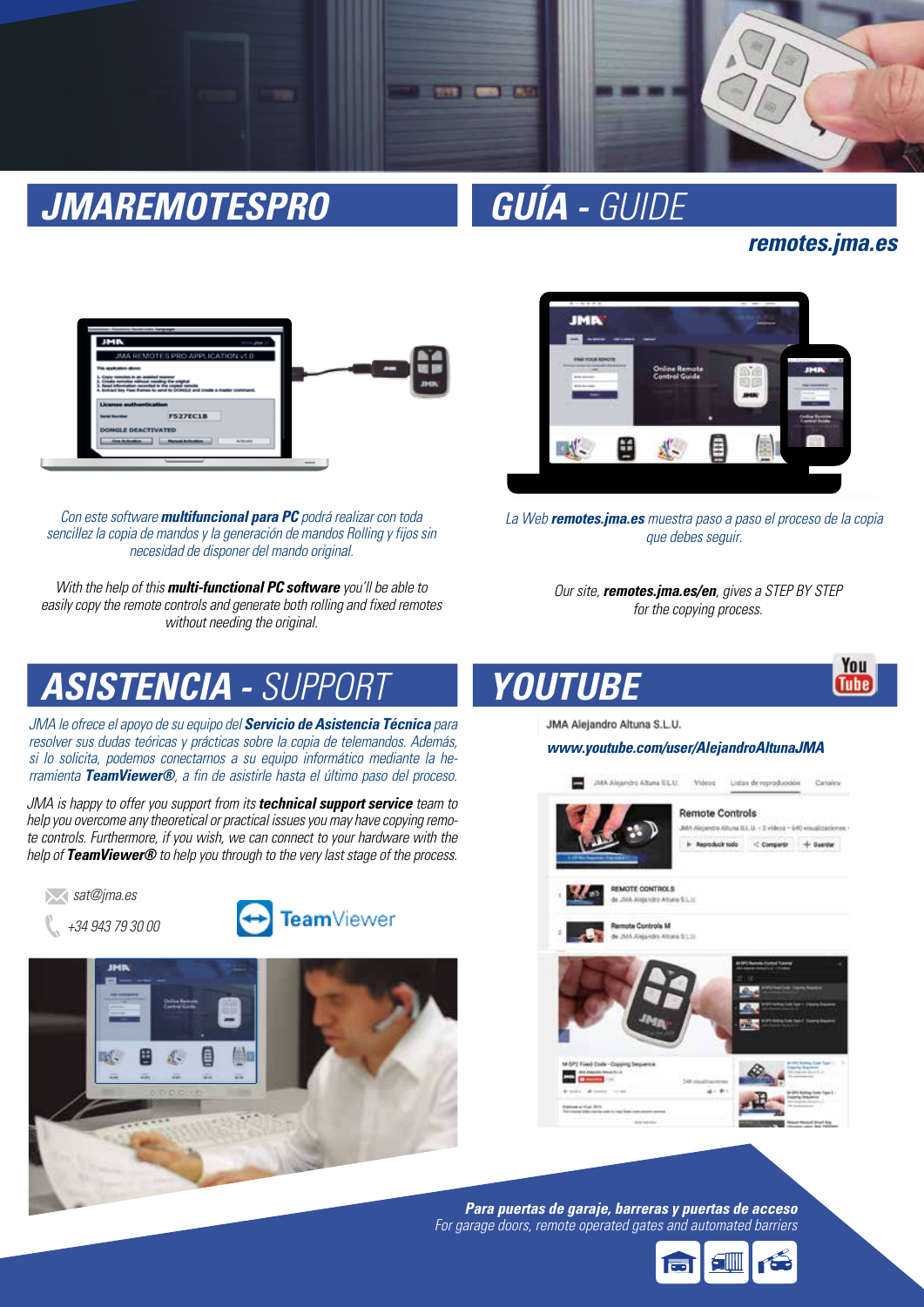

# **JMAREMOTESPRO GUÍA -** GUIDE

### **remotes.jma.es**

You **Tube** 



Con este software **multifuncional para PC** podrá realizar con toda sencillez la copia de mandos y la generación de mandos Rolling y fijos sin necesidad de disponer del mando original.

With the help of this **multi-functional PC software** you'll be able to easily copy the remote controls and generate both rolling and fixed remotes without needing the original.



La Web **remotes.jma.es** muestra paso a paso el proceso de la copia que debes sequir.

Our site, **remotes.jma.es/en**, gives a STEP BY STEP for the copying process.

# **ASISTENCIA -** SUPPORT

JMA le ofrece el apoyo de su equipo del **Servicio de Asistencia Técnica** para resolver sus dudas teóricas y prácticas sobre la copia de telemandos. Además, si lo solicita, podemos conectarnos a su equipo informático mediante la herramienta **TeamViewer®**, a fin de asistirle hasta el último paso del proceso.

JMA is happy to offer you support from its **technical support service** team to help you overcome any theoretical or practical issues you may have copying remote controls. Furthermore, if you wish, we can connect to your hardware with the help of **TeamViewer®** to help you through to the very last stage of the process.







JMA Alejandro Altuna S.L.U.

**YOUTUBE**

**www.youtube.com/user/AlejandroAltunaJMA**



**Para puertas de garaje, barreras y puertas de acceso** For garage doors, remote operated gates and automated barriers